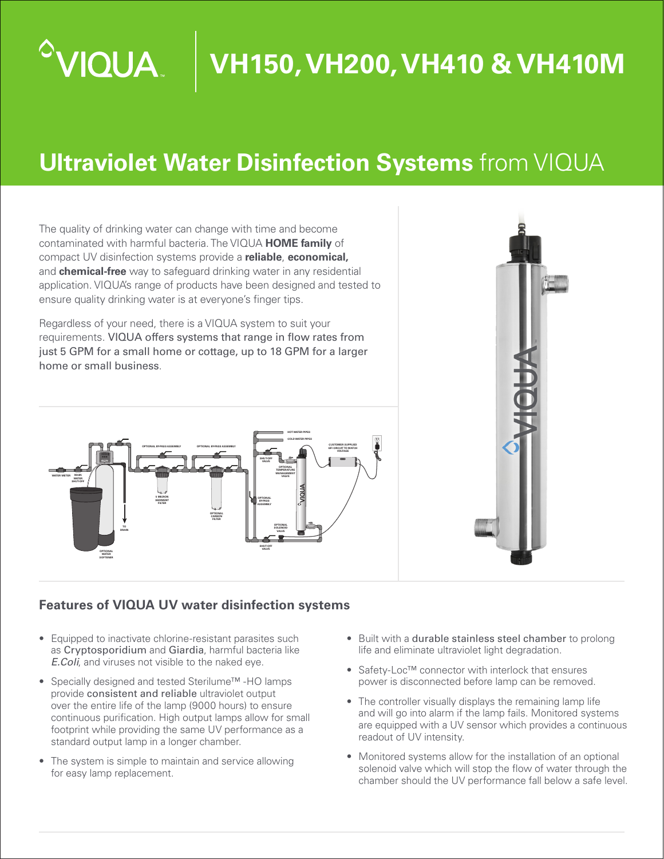# **IQUA**

## **VH150, VH200, VH410 & VH410M**

### **Ultraviolet Water Disinfection Systems** from VIQUA

The quality of drinking water can change with time and become contaminated with harmful bacteria. The VIQUA **HOME family** of compact UV disinfection systems provide a **reliable**, **economical,** and **chemical-free** way to safeguard drinking water in any residential application. VIQUA's range of products have been designed and tested to ensure quality drinking water is at everyone's finger tips.

Regardless of your need, there is a VIQUA system to suit your requirements. VIQUA offers systems that range in flow rates from just 5 GPM for a small home or cottage, up to 18 GPM for a larger home or small business.





#### **Features of VIQUA UV water disinfection systems**

- Equipped to inactivate chlorine-resistant parasites such as Cryptosporidium and Giardia, harmful bacteria like *E.Coli*, and viruses not visible to the naked eye.
- Specially designed and tested Sterilume™ -HO lamps provide consistent and reliable ultraviolet output over the entire life of the lamp (9000 hours) to ensure continuous purification. High output lamps allow for small footprint while providing the same UV performance as a standard output lamp in a longer chamber.
- The system is simple to maintain and service allowing for easy lamp replacement.
- Built with a durable stainless steel chamber to prolong life and eliminate ultraviolet light degradation.
- Safety-Loc™ connector with interlock that ensures power is disconnected before lamp can be removed.
- The controller visually displays the remaining lamp life and will go into alarm if the lamp fails. Monitored systems are equipped with a UV sensor which provides a continuous readout of UV intensity.
- Monitored systems allow for the installation of an optional solenoid valve which will stop the flow of water through the chamber should the UV performance fall below a safe level.